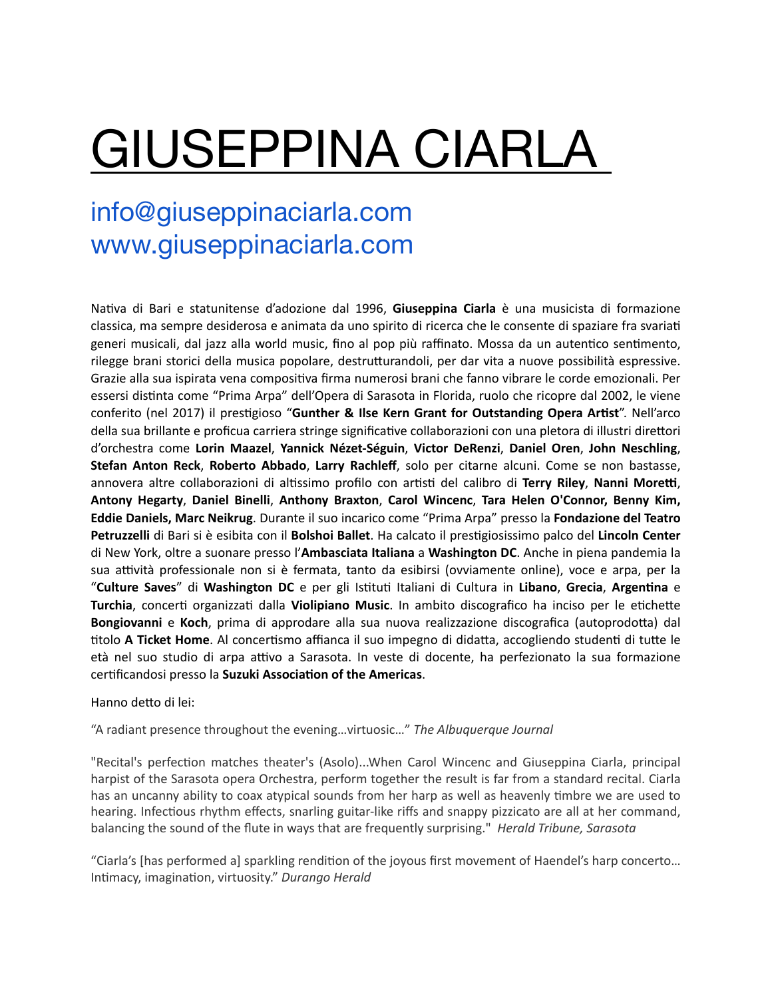## GIUSEPPINA CIARLA

## info@giuseppinaciarla.com www.giuseppinaciarla.com

Na#va di Bari e statunitense d'adozione dal 1996, **Giuseppina Ciarla** è una musicista di formazione classica, ma sempre desiderosa e animata da uno spirito di ricerca che le consente di spaziare fra svariati generi musicali, dal jazz alla world music, fino al pop più raffinato. Mossa da un autentico sentimento, rilegge brani storici della musica popolare, destrutturandoli, per dar vita a nuove possibilità espressive. Grazie alla sua ispirata vena compositiva firma numerosi brani che fanno vibrare le corde emozionali. Per essersi distinta come "Prima Arpa" dell'Opera di Sarasota in Florida, ruolo che ricopre dal 2002, le viene conferito (nel 2017) il prestigioso "Gunther & Ilse Kern Grant for Outstanding Opera Artist". Nell'arco della sua brillante e proficua carriera stringe significative collaborazioni con una pletora di illustri direttori d'orchestra come **Lorin Maazel**, **Yannick Nézet-Séguin**, **Victor DeRenzi**, **Daniel Oren**, **John Neschling**, **Stefan Anton Reck**, **Roberto Abbado**, **Larry Rachleff**, solo per citarne alcuni. Come se non bastasse, annovera altre collaborazioni di altissimo profilo con artisti del calibro di **Terry Riley, Nanni Moretti**, **Antony Hegarty**, **Daniel Binelli**, **Anthony Braxton**, **Carol Wincenc**, **Tara Helen O'Connor, Benny Kim, Eddie Daniels, Marc Neikrug**. Durante il suo incarico come "Prima Arpa" presso la **Fondazione del Teatro Petruzzelli** di Bari si è esibita con il **Bolshoi Ballet**. Ha calcato il prestigiosissimo palco del Lincoln Center di New York, oltre a suonare presso l'**Ambasciata Italiana** a **Washington DC**. Anche in piena pandemia la sua attività professionale non si è fermata, tanto da esibirsi (ovviamente online), voce e arpa, per la "Culture Saves" di Washington DC e per gli Istituti Italiani di Cultura in Libano, Grecia, Argentina e **Turchia**, concerti organizzati dalla **Violipiano Music**. In ambito discografico ha inciso per le etichette **Bongiovanni** e **Koch**, prima di approdare alla sua nuova realizzazione discografica (autoprodoFa) dal titolo **A Ticket Home**. Al concertismo affianca il suo impegno di didatta, accogliendo studenti di tutte le età nel suo studio di arpa attivo a Sarasota. In veste di docente, ha perfezionato la sua formazione certificandosi presso la **Suzuki Association of the Americas**.

## Hanno detto di lei:

"A radiant presence throughout the evening…virtuosic…" *The Albuquerque Journal* 

"Recital's perfection matches theater's (Asolo)...When Carol Wincenc and Giuseppina Ciarla, principal harpist of the Sarasota opera Orchestra, perform together the result is far from a standard recital. Ciarla has an uncanny ability to coax atypical sounds from her harp as well as heavenly timbre we are used to hearing. Infectious rhythm effects, snarling guitar-like riffs and snappy pizzicato are all at her command, balancing the sound of the flute in ways that are frequently surprising." *Herald Tribune, Sarasota* 

"Ciarla's [has performed a] sparkling rendition of the joyous first movement of Haendel's harp concerto... Intimacy, imagination, virtuosity." Durango Herald